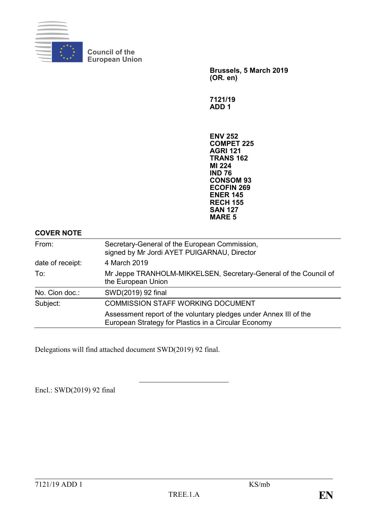

**Council of the European Union**

> **Brussels, 5 March 2019 (OR. en)**

**7121/19 ADD 1**

**ENV 252 COMPET 225 AGRI 121 TRANS 162 MI 224 IND 76 CONSOM 93 ECOFIN 269 ENER 145 RECH 155 SAN 127 MARE 5**

#### **COVER NOTE**

| From:            | Secretary-General of the European Commission,<br>signed by Mr Jordi AYET PUIGARNAU, Director                              |  |  |
|------------------|---------------------------------------------------------------------------------------------------------------------------|--|--|
| date of receipt: | 4 March 2019                                                                                                              |  |  |
| To:              | Mr Jeppe TRANHOLM-MIKKELSEN, Secretary-General of the Council of<br>the European Union                                    |  |  |
| No. Cion doc.:   | SWD(2019) 92 final                                                                                                        |  |  |
| Subject:         | <b>COMMISSION STAFF WORKING DOCUMENT</b>                                                                                  |  |  |
|                  | Assessment report of the voluntary pledges under Annex III of the<br>European Strategy for Plastics in a Circular Economy |  |  |

Delegations will find attached document SWD(2019) 92 final.

Encl.: SWD(2019) 92 final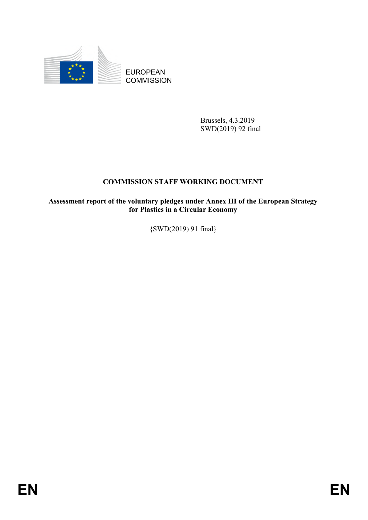

Brussels, 4.3.2019 SWD(2019) 92 final

# **COMMISSION STAFF WORKING DOCUMENT**

EUROPEAN<br>
EUROPEAN<br>
COMMISSION<br>
FRIESES<br>
COMMISSION<br>
FRIESES AND PRIES<br>
FRIES<br>
COMMISSION STATP WORKING DOCUMENT<br>
Assessment report of the valuating pleakes under Annex III of the European Strategy<br>
(SWD(2019) 91 final)<br>
F **Assessment report of the voluntary pledges under Annex III of the European Strategy for Plastics in a Circular Economy**

{SWD(2019) 91 final}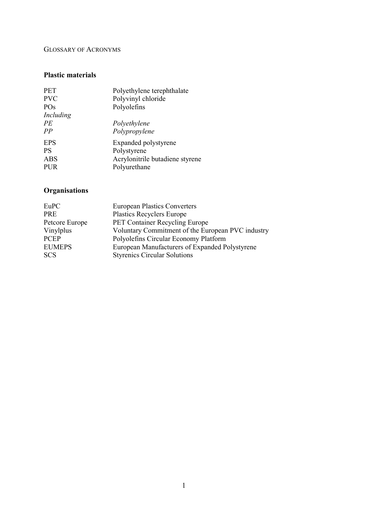#### GLOSSARY OF ACRONYMS

#### **Plastic materials**

| <b>PET</b>            | Polyethylene terephthalate      |
|-----------------------|---------------------------------|
| <b>PVC</b>            | Polyvinyl chloride              |
| PO <sub>s</sub>       | Polyolefins                     |
| Including<br>PE<br>PP | Polyethylene<br>Polypropylene   |
| <b>EPS</b>            | Expanded polystyrene            |
| <b>PS</b>             | Polystyrene                     |
| <b>ABS</b>            | Acrylonitrile butadiene styrene |
| <b>PUR</b>            | Polyurethane                    |

# **Organisations**

| EuPC           | <b>European Plastics Converters</b>               |
|----------------|---------------------------------------------------|
| PRE            | <b>Plastics Recyclers Europe</b>                  |
| Petcore Europe | PET Container Recycling Europe                    |
| Vinylplus      | Voluntary Commitment of the European PVC industry |
| <b>PCEP</b>    | Polyolefins Circular Economy Platform             |
| <b>EUMEPS</b>  | European Manufacturers of Expanded Polystyrene    |
| <b>SCS</b>     | <b>Styrenics Circular Solutions</b>               |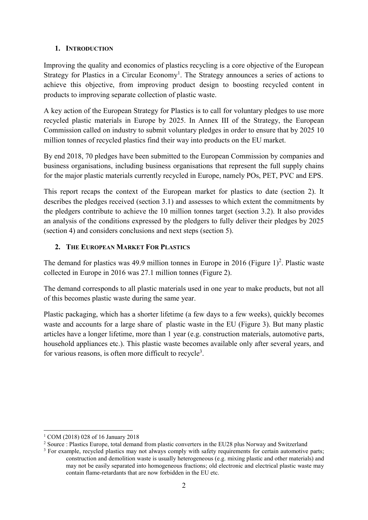#### **1. INTRODUCTION**

Improving the quality and economics of plastics recycling is a core objective of the European Strategy for Plastics in a Circular Economy<sup>1</sup>. The Strategy announces a series of actions to achieve this objective, from improving product design to boosting recycled content in products to improving separate collection of plastic waste.

A key action of the European Strategy for Plastics is to call for voluntary pledges to use more recycled plastic materials in Europe by 2025. In Annex III of the Strategy, the European Commission called on industry to submit voluntary pledges in order to ensure that by 2025 10 million tonnes of recycled plastics find their way into products on the EU market.

By end 2018, 70 pledges have been submitted to the European Commission by companies and business organisations, including business organisations that represent the full supply chains for the major plastic materials currently recycled in Europe, namely POs, PET, PVC and EPS.

This report recaps the context of the European market for plastics to date (section 2). It describes the pledges received (section 3.1) and assesses to which extent the commitments by the pledgers contribute to achieve the 10 million tonnes target (section 3.2). It also provides an analysis of the conditions expressed by the pledgers to fully deliver their pledges by 2025 (section 4) and considers conclusions and next steps (section 5).

### **2. THE EUROPEAN MARKET FOR PLASTICS**

The demand for plastics was 49.9 million tonnes in Europe in 2016 (Figure 1)<sup>2</sup>. Plastic waste collected in Europe in 2016 was 27.1 million tonnes (Figure 2).

The demand corresponds to all plastic materials used in one year to make products, but not all of this becomes plastic waste during the same year.

Plastic packaging, which has a shorter lifetime (a few days to a few weeks), quickly becomes waste and accounts for a large share of plastic waste in the EU (Figure 3). But many plastic articles have a longer lifetime, more than 1 year (e.g. construction materials, automotive parts, household appliances etc.). This plastic waste becomes available only after several years, and for various reasons, is often more difficult to recycle<sup>3</sup>.

 $\overline{a}$ <sup>1</sup> COM (2018) 028 of 16 January 2018

<sup>&</sup>lt;sup>2</sup> Source : Plastics Europe, total demand from plastic converters in the EU28 plus Norway and Switzerland

<sup>&</sup>lt;sup>3</sup> For example, recycled plastics may not always comply with safety requirements for certain automotive parts; construction and demolition waste is usually heterogeneous (e.g. mixing plastic and other materials) and may not be easily separated into homogeneous fractions; old electronic and electrical plastic waste may contain flame-retardants that are now forbidden in the EU etc.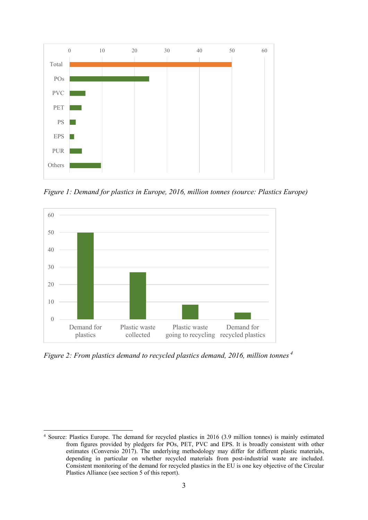

*Figure 1: Demand for plastics in Europe, 2016, million tonnes (source: Plastics Europe)*



*Figure 2: From plastics demand to recycled plastics demand, 2016, million tonnes <sup>4</sup>*

 $\overline{a}$ 

<sup>4</sup> Source: Plastics Europe. The demand for recycled plastics in 2016 (3.9 million tonnes) is mainly estimated from figures provided by pledgers for POs, PET, PVC and EPS. It is broadly consistent with other estimates (Conversio 2017). The underlying methodology may differ for different plastic materials, depending in particular on whether recycled materials from post-industrial waste are included. Consistent monitoring of the demand for recycled plastics in the EU is one key objective of the Circular Plastics Alliance (see section 5 of this report).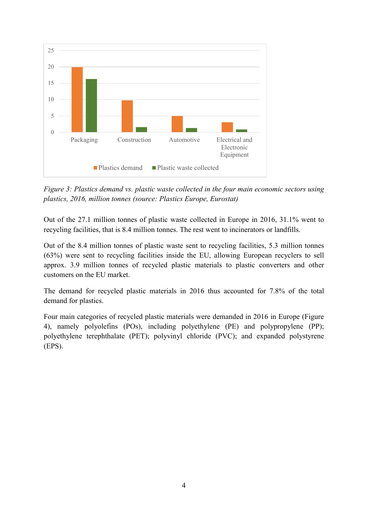

*Figure 3: Plastics demand vs. plastic waste collected in the four main economic sectors using plastics, 2016, million tonnes (source: Plastics Europe, Eurostat)*

Out of the 27.1 million tonnes of plastic waste collected in Europe in 2016, 31.1% went to recycling facilities, that is 8.4 million tonnes. The rest went to incinerators or landfills.

Out of the 8.4 million tonnes of plastic waste sent to recycling facilities, 5.3 million tonnes (63%) were sent to recycling facilities inside the EU, allowing European recyclers to sell approx. 3.9 million tonnes of recycled plastic materials to plastic converters and other customers on the EU market.

The demand for recycled plastic materials in 2016 thus accounted for 7.8% of the total demand for plastics.

Four main categories of recycled plastic materials were demanded in 2016 in Europe (Figure 4), namely polyolefins (POs), including polyethylene (PE) and polypropylene (PP); polyethylene terephthalate (PET); polyvinyl chloride (PVC); and expanded polystyrene (EPS).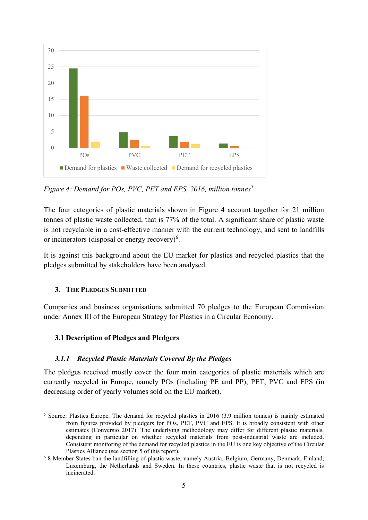

*Figure 4: Demand for POs, PVC, PET and EPS, 2016, million tonnes<sup>5</sup>*

The four categories of plastic materials shown in Figure 4 account together for 21 million tonnes of plastic waste collected, that is 77% of the total. A significant share of plastic waste is not recyclable in a cost-effective manner with the current technology, and sent to landfills or incinerators (disposal or energy recovery) $6$ .

It is against this background about the EU market for plastics and recycled plastics that the pledges submitted by stakeholders have been analysed.

#### **3. THE PLEDGES SUBMITTED**

Companies and business organisations submitted 70 pledges to the European Commission under Annex III of the European Strategy for Plastics in a Circular Economy.

### **3.1 Description of Pledges and Pledgers**

#### *3.1.1 Recycled Plastic Materials Covered By the Pledges*

The pledges received mostly cover the four main categories of plastic materials which are currently recycled in Europe, namely POs (including PE and PP), PET, PVC and EPS (in decreasing order of yearly volumes sold on the EU market).

<sup>1</sup> <sup>5</sup> Source: Plastics Europe. The demand for recycled plastics in 2016 (3.9 million tonnes) is mainly estimated from figures provided by pledgers for POs, PET, PVC and EPS. It is broadly consistent with other estimates (Conversio 2017). The underlying methodology may differ for different plastic materials, depending in particular on whether recycled materials from post-industrial waste are included. Consistent monitoring of the demand for recycled plastics in the EU is one key objective of the Circular Plastics Alliance (see section 5 of this report).

<sup>6</sup> 8 Member States ban the landfilling of plastic waste, namely Austria, Belgium, Germany, Denmark, Finland, Luxemburg, the Netherlands and Sweden. In these countries, plastic waste that is not recycled is incinerated.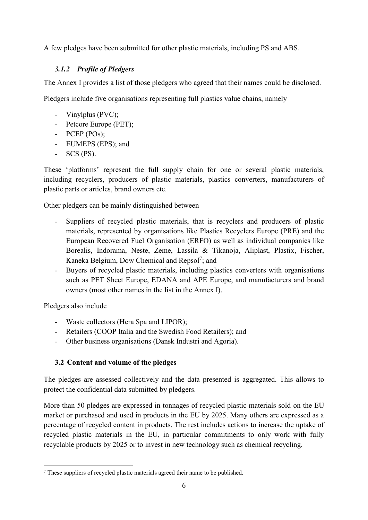A few pledges have been submitted for other plastic materials, including PS and ABS.

## *3.1.2 Profile of Pledgers*

The Annex I provides a list of those pledgers who agreed that their names could be disclosed.

Pledgers include five organisations representing full plastics value chains, namely

- Vinylplus (PVC);
- Petcore Europe (PET);
- PCEP (POs);
- EUMEPS (EPS); and
- SCS (PS).

These 'platforms' represent the full supply chain for one or several plastic materials, including recyclers, producers of plastic materials, plastics converters, manufacturers of plastic parts or articles, brand owners etc.

Other pledgers can be mainly distinguished between

- Suppliers of recycled plastic materials, that is recyclers and producers of plastic materials, represented by organisations like Plastics Recyclers Europe (PRE) and the European Recovered Fuel Organisation (ERFO) as well as individual companies like Borealis, Indorama, Neste, Zeme, Lassila & Tikanoja, Aliplast, Plastix, Fischer, Kaneka Belgium, Dow Chemical and Repsol<sup>7</sup>; and
- Buyers of recycled plastic materials, including plastics converters with organisations such as PET Sheet Europe, EDANA and APE Europe, and manufacturers and brand owners (most other names in the list in the Annex I).

Pledgers also include

- Waste collectors (Hera Spa and LIPOR);
- Retailers (COOP Italia and the Swedish Food Retailers); and
- Other business organisations (Dansk Industri and Agoria).

# **3.2 Content and volume of the pledges**

The pledges are assessed collectively and the data presented is aggregated. This allows to protect the confidential data submitted by pledgers.

More than 50 pledges are expressed in tonnages of recycled plastic materials sold on the EU market or purchased and used in products in the EU by 2025. Many others are expressed as a percentage of recycled content in products. The rest includes actions to increase the uptake of recycled plastic materials in the EU, in particular commitments to only work with fully recyclable products by 2025 or to invest in new technology such as chemical recycling.

**<sup>.</sup>** <sup>7</sup> These suppliers of recycled plastic materials agreed their name to be published.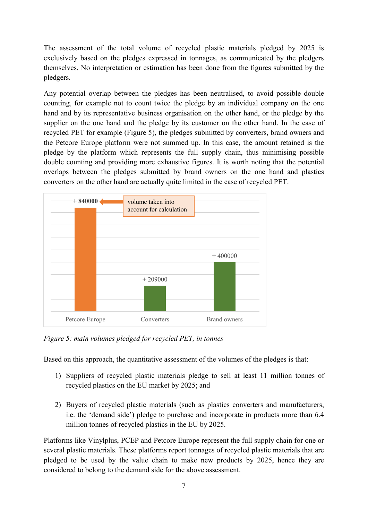The assessment of the total volume of recycled plastic materials pledged by 2025 is exclusively based on the pledges expressed in tonnages, as communicated by the pledgers themselves. No interpretation or estimation has been done from the figures submitted by the pledgers.

Any potential overlap between the pledges has been neutralised, to avoid possible double counting, for example not to count twice the pledge by an individual company on the one hand and by its representative business organisation on the other hand, or the pledge by the supplier on the one hand and the pledge by its customer on the other hand. In the case of recycled PET for example (Figure 5), the pledges submitted by converters, brand owners and the Petcore Europe platform were not summed up. In this case, the amount retained is the pledge by the platform which represents the full supply chain, thus minimising possible double counting and providing more exhaustive figures. It is worth noting that the potential overlaps between the pledges submitted by brand owners on the one hand and plastics converters on the other hand are actually quite limited in the case of recycled PET.



*Figure 5: main volumes pledged for recycled PET, in tonnes*

Based on this approach, the quantitative assessment of the volumes of the pledges is that:

- 1) Suppliers of recycled plastic materials pledge to sell at least 11 million tonnes of recycled plastics on the EU market by 2025; and
- 2) Buyers of recycled plastic materials (such as plastics converters and manufacturers, i.e. the 'demand side') pledge to purchase and incorporate in products more than 6.4 million tonnes of recycled plastics in the EU by 2025.

Platforms like Vinylplus, PCEP and Petcore Europe represent the full supply chain for one or several plastic materials. These platforms report tonnages of recycled plastic materials that are pledged to be used by the value chain to make new products by 2025, hence they are considered to belong to the demand side for the above assessment.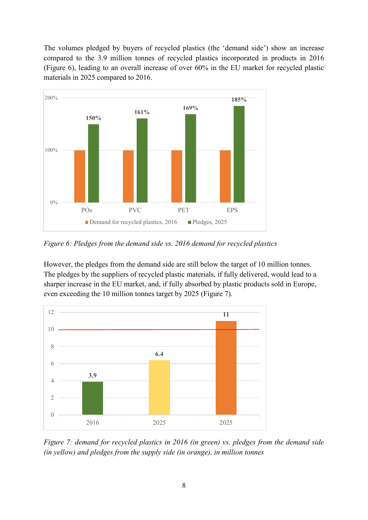The volumes pledged by buyers of recycled plastics (the 'demand side') show an increase compared to the 3.9 million tonnes of recycled plastics incorporated in products in 2016 (Figure 6), leading to an overall increase of over 60% in the EU market for recycled plastic materials in 2025 compared to 2016.



*Figure 6: Pledges from the demand side vs. 2016 demand for recycled plastics*

However, the pledges from the demand side are still below the target of 10 million tonnes. The pledges by the suppliers of recycled plastic materials, if fully delivered, would lead to a sharper increase in the EU market, and, if fully absorbed by plastic products sold in Europe, even exceeding the 10 million tonnes target by 2025 (Figure 7).



*Figure 7: demand for recycled plastics in 2016 (in green) vs. pledges from the demand side (in yellow) and pledges from the supply side (in orange), in million tonnes*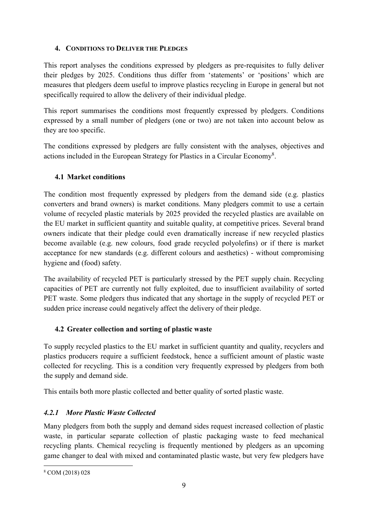## **4. CONDITIONS TO DELIVER THE PLEDGES**

This report analyses the conditions expressed by pledgers as pre-requisites to fully deliver their pledges by 2025. Conditions thus differ from 'statements' or 'positions' which are measures that pledgers deem useful to improve plastics recycling in Europe in general but not specifically required to allow the delivery of their individual pledge.

This report summarises the conditions most frequently expressed by pledgers. Conditions expressed by a small number of pledgers (one or two) are not taken into account below as they are too specific.

The conditions expressed by pledgers are fully consistent with the analyses, objectives and actions included in the European Strategy for Plastics in a Circular Economy<sup>8</sup>.

# **4.1 Market conditions**

The condition most frequently expressed by pledgers from the demand side (e.g. plastics converters and brand owners) is market conditions. Many pledgers commit to use a certain volume of recycled plastic materials by 2025 provided the recycled plastics are available on the EU market in sufficient quantity and suitable quality, at competitive prices. Several brand owners indicate that their pledge could even dramatically increase if new recycled plastics become available (e.g. new colours, food grade recycled polyolefins) or if there is market acceptance for new standards (e.g. different colours and aesthetics) - without compromising hygiene and (food) safety.

The availability of recycled PET is particularly stressed by the PET supply chain. Recycling capacities of PET are currently not fully exploited, due to insufficient availability of sorted PET waste. Some pledgers thus indicated that any shortage in the supply of recycled PET or sudden price increase could negatively affect the delivery of their pledge.

# **4.2 Greater collection and sorting of plastic waste**

To supply recycled plastics to the EU market in sufficient quantity and quality, recyclers and plastics producers require a sufficient feedstock, hence a sufficient amount of plastic waste collected for recycling. This is a condition very frequently expressed by pledgers from both the supply and demand side.

This entails both more plastic collected and better quality of sorted plastic waste.

# *4.2.1 More Plastic Waste Collected*

Many pledgers from both the supply and demand sides request increased collection of plastic waste, in particular separate collection of plastic packaging waste to feed mechanical recycling plants. Chemical recycling is frequently mentioned by pledgers as an upcoming game changer to deal with mixed and contaminated plastic waste, but very few pledgers have

**<sup>.</sup>** <sup>8</sup> COM (2018) 028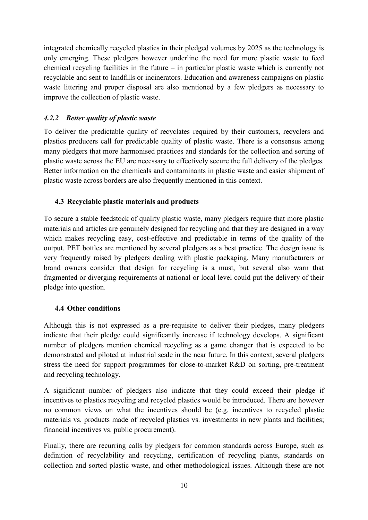integrated chemically recycled plastics in their pledged volumes by 2025 as the technology is only emerging. These pledgers however underline the need for more plastic waste to feed chemical recycling facilities in the future – in particular plastic waste which is currently not recyclable and sent to landfills or incinerators. Education and awareness campaigns on plastic waste littering and proper disposal are also mentioned by a few pledgers as necessary to improve the collection of plastic waste.

## *4.2.2 Better quality of plastic waste*

To deliver the predictable quality of recyclates required by their customers, recyclers and plastics producers call for predictable quality of plastic waste. There is a consensus among many pledgers that more harmonised practices and standards for the collection and sorting of plastic waste across the EU are necessary to effectively secure the full delivery of the pledges. Better information on the chemicals and contaminants in plastic waste and easier shipment of plastic waste across borders are also frequently mentioned in this context.

## **4.3 Recyclable plastic materials and products**

To secure a stable feedstock of quality plastic waste, many pledgers require that more plastic materials and articles are genuinely designed for recycling and that they are designed in a way which makes recycling easy, cost-effective and predictable in terms of the quality of the output. PET bottles are mentioned by several pledgers as a best practice. The design issue is very frequently raised by pledgers dealing with plastic packaging. Many manufacturers or brand owners consider that design for recycling is a must, but several also warn that fragmented or diverging requirements at national or local level could put the delivery of their pledge into question.

### **4.4 Other conditions**

Although this is not expressed as a pre-requisite to deliver their pledges, many pledgers indicate that their pledge could significantly increase if technology develops. A significant number of pledgers mention chemical recycling as a game changer that is expected to be demonstrated and piloted at industrial scale in the near future. In this context, several pledgers stress the need for support programmes for close-to-market R&D on sorting, pre-treatment and recycling technology.

A significant number of pledgers also indicate that they could exceed their pledge if incentives to plastics recycling and recycled plastics would be introduced. There are however no common views on what the incentives should be (e.g. incentives to recycled plastic materials vs. products made of recycled plastics vs. investments in new plants and facilities; financial incentives vs. public procurement).

Finally, there are recurring calls by pledgers for common standards across Europe, such as definition of recyclability and recycling, certification of recycling plants, standards on collection and sorted plastic waste, and other methodological issues. Although these are not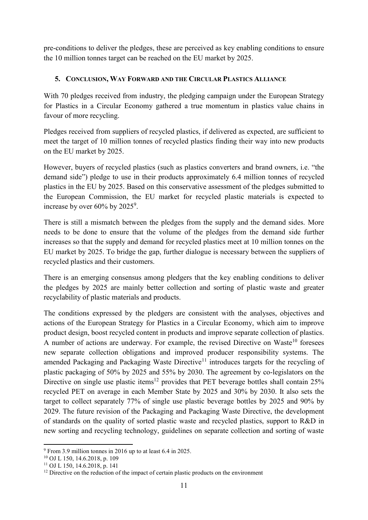pre-conditions to deliver the pledges, these are perceived as key enabling conditions to ensure the 10 million tonnes target can be reached on the EU market by 2025.

### **5. CONCLUSION, WAY FORWARD AND THE CIRCULAR PLASTICS ALLIANCE**

With 70 pledges received from industry, the pledging campaign under the European Strategy for Plastics in a Circular Economy gathered a true momentum in plastics value chains in favour of more recycling.

Pledges received from suppliers of recycled plastics, if delivered as expected, are sufficient to meet the target of 10 million tonnes of recycled plastics finding their way into new products on the EU market by 2025.

However, buyers of recycled plastics (such as plastics converters and brand owners, i.e. "the demand side") pledge to use in their products approximately 6.4 million tonnes of recycled plastics in the EU by 2025. Based on this conservative assessment of the pledges submitted to the European Commission, the EU market for recycled plastic materials is expected to increase by over  $60\%$  by  $2025^9$ .

There is still a mismatch between the pledges from the supply and the demand sides. More needs to be done to ensure that the volume of the pledges from the demand side further increases so that the supply and demand for recycled plastics meet at 10 million tonnes on the EU market by 2025. To bridge the gap, further dialogue is necessary between the suppliers of recycled plastics and their customers.

There is an emerging consensus among pledgers that the key enabling conditions to deliver the pledges by 2025 are mainly better collection and sorting of plastic waste and greater recyclability of plastic materials and products.

The conditions expressed by the pledgers are consistent with the analyses, objectives and actions of the European Strategy for Plastics in a Circular Economy, which aim to improve product design, boost recycled content in products and improve separate collection of plastics. A number of actions are underway. For example, the revised Directive on Waste<sup>10</sup> foresees new separate collection obligations and improved producer responsibility systems. The amended Packaging and Packaging Waste Directive<sup>11</sup> introduces targets for the recycling of plastic packaging of 50% by 2025 and 55% by 2030. The agreement by co-legislators on the Directive on single use plastic items<sup>12</sup> provides that PET beverage bottles shall contain  $25\%$ recycled PET on average in each Member State by 2025 and 30% by 2030. It also sets the target to collect separately 77% of single use plastic beverage bottles by 2025 and 90% by 2029. The future revision of the Packaging and Packaging Waste Directive, the development of standards on the quality of sorted plastic waste and recycled plastics, support to R&D in new sorting and recycling technology, guidelines on separate collection and sorting of waste

**<sup>.</sup>** <sup>9</sup> From 3.9 million tonnes in 2016 up to at least 6.4 in 2025.

<sup>10</sup> OJ L 150, 14.6.2018, p. 109

<sup>11</sup> OJ L 150, 14.6.2018, p. 141

 $12$  Directive on the reduction of the impact of certain plastic products on the environment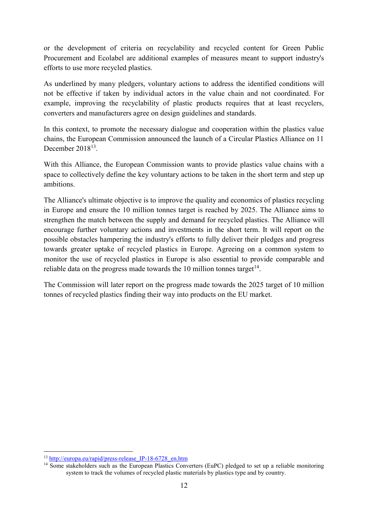or the development of criteria on recyclability and recycled content for Green Public Procurement and Ecolabel are additional examples of measures meant to support industry's efforts to use more recycled plastics.

As underlined by many pledgers, voluntary actions to address the identified conditions will not be effective if taken by individual actors in the value chain and not coordinated. For example, improving the recyclability of plastic products requires that at least recyclers, converters and manufacturers agree on design guidelines and standards.

In this context, to promote the necessary dialogue and cooperation within the plastics value chains, the European Commission announced the launch of a Circular Plastics Alliance on 11 December 2018<sup>13</sup>.

With this Alliance, the European Commission wants to provide plastics value chains with a space to collectively define the key voluntary actions to be taken in the short term and step up ambitions.

The Alliance's ultimate objective is to improve the quality and economics of plastics recycling in Europe and ensure the 10 million tonnes target is reached by 2025. The Alliance aims to strengthen the match between the supply and demand for recycled plastics. The Alliance will encourage further voluntary actions and investments in the short term. It will report on the possible obstacles hampering the industry's efforts to fully deliver their pledges and progress towards greater uptake of recycled plastics in Europe. Agreeing on a common system to monitor the use of recycled plastics in Europe is also essential to provide comparable and reliable data on the progress made towards the 10 million tonnes target<sup>14</sup>.

The Commission will later report on the progress made towards the 2025 target of 10 million tonnes of recycled plastics finding their way into products on the EU market.

<sup>1</sup> <sup>13</sup> http://europa.eu/rapid/press-release IP-18-6728 en.htm

<sup>&</sup>lt;sup>14</sup> Some stakeholders such as the European Plastics Converters (EuPC) pledged to set up a reliable monitoring system to track the volumes of recycled plastic materials by plastics type and by country.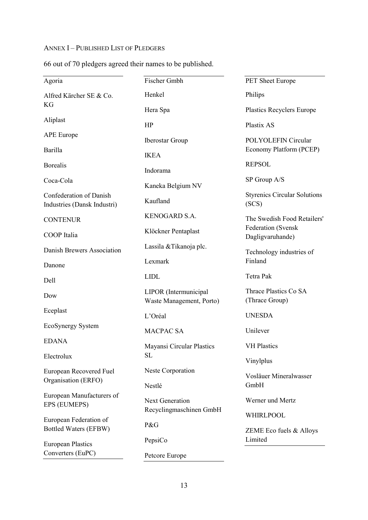#### ANNEX I – PUBLISHED LIST OF PLEDGERS

| 66 out of 70 pledgers agreed their names to be published. |  |
|-----------------------------------------------------------|--|
|-----------------------------------------------------------|--|

| Agoria                                                 | Fischer Gmbh                      | PET Sheet Europe                       |  |
|--------------------------------------------------------|-----------------------------------|----------------------------------------|--|
| Alfred Kärcher SE & Co.                                | Henkel                            | Philips                                |  |
| KG                                                     | Hera Spa                          | <b>Plastics Recyclers Europe</b>       |  |
| Aliplast                                               | HP                                | Plastix AS                             |  |
| <b>APE</b> Europe                                      | <b>Iberostar Group</b>            | POLYOLEFIN Circular                    |  |
| <b>Barilla</b>                                         | <b>IKEA</b>                       | Economy Platform (PCEP)                |  |
| <b>Borealis</b>                                        | Indorama                          | <b>REPSOL</b>                          |  |
| Coca-Cola                                              | SP Group A/S<br>Kaneka Belgium NV |                                        |  |
| <b>Confederation of Danish</b>                         |                                   | <b>Styrenics Circular Solutions</b>    |  |
| Industries (Dansk Industri)                            | Kaufland                          | (SCS)                                  |  |
| <b>CONTENUR</b>                                        | KENOGARD S.A.                     | The Swedish Food Retailers'            |  |
| COOP Italia                                            | Klöckner Pentaplast               | Federation (Svensk<br>Dagligvaruhande) |  |
| Danish Brewers Association                             | Lassila & Tikanoja plc.           | Technology industries of               |  |
| Danone                                                 | Lexmark                           | Finland                                |  |
| Dell                                                   | <b>LIDL</b>                       | Tetra Pak                              |  |
| Dow                                                    | LIPOR (Intermunicipal             | Thrace Plastics Co SA                  |  |
|                                                        | Waste Management, Porto)          | (Thrace Group)                         |  |
| Eceplast                                               | L'Oréal                           | <b>UNESDA</b>                          |  |
| EcoSynergy System                                      | <b>MACPAC SA</b>                  | Unilever                               |  |
| <b>EDANA</b>                                           | <b>Mayansi Circular Plastics</b>  | <b>VH Plastics</b>                     |  |
| Electrolux                                             | <b>SL</b>                         | Vinylplus                              |  |
| European Recovered Fuel                                | Neste Corporation                 | Vosläuer Mineralwasser                 |  |
| Organisation (ERFO)                                    | Nestlé                            | GmbH                                   |  |
| European Manufacturers of                              | Next Generation                   | Werner und Mertz                       |  |
| EPS (EUMEPS)                                           | Recyclingmaschinen GmbH           | WHIRLPOOL                              |  |
| European Federation of<br><b>Bottled Waters (EFBW)</b> | P&G                               | ZEME Eco fuels & Alloys                |  |
| <b>European Plastics</b>                               | PepsiCo                           | Limited                                |  |
| Converters (EuPC)                                      | Petcore Europe                    |                                        |  |